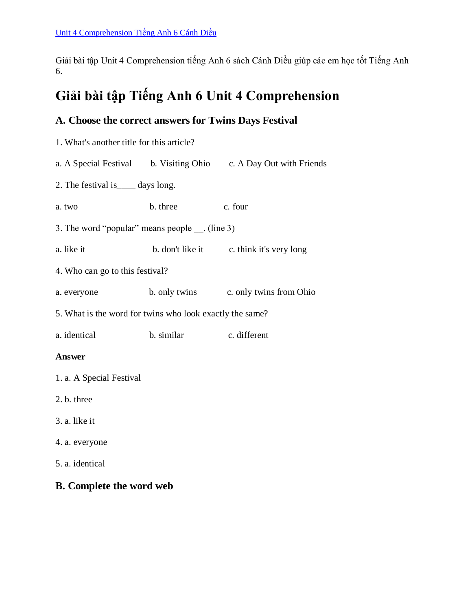Giải bài tập Unit 4 Comprehension tiếng Anh 6 sách Cánh Diều giúp các em học tốt Tiếng Anh 6.

# **Giải bài tập Tiếng Anh 6 Unit 4 Comprehension**

## **A. Choose the correct answers for Twins Days Festival**

- 1. What's another title for this article? a. A Special Festival b. Visiting Ohio c. A Day Out with Friends 2. The festival is\_\_\_\_ days long. a. two b. three c. four 3. The word "popular" means people \_\_. (line 3) a. like it b. don't like it c. think it's very long 4. Who can go to this festival? a. everyone b. only twins c. only twins from Ohio 5. What is the word for twins who look exactly the same? a. identical b. similar c. different **Answer** 1. a. A Special Festival 2. b. three 3. a. like it 4. a. everyone
- 5. a. identical

### **B. Complete the word web**